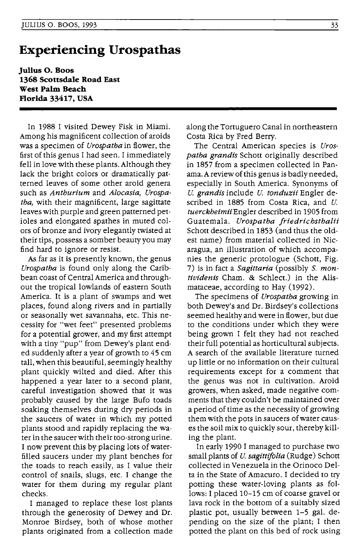## **Experiencing Urospathas**

**Julius o. Boos 1368 Scottsdale Road East West Palm Beach Florida 33417, USA** 

In 1988 I visited Dewey Fisk in Miami. Among his magnificent collection of aroids was a specimen of *Urospatha* in flower, the first of this genus I had seen. I immediately fell in love with these plants. Although they lack the bright colors or dramatically patterned leaves of some other aroid genera such as *Anthurium* and *Alocasia, Urospatha,* with their magnificent, large sagittate leaves with purple and green patterned petioles and elongated spathes in muted colors of bronze and ivory elegantly twisted at their tips, possess a somber beauty you may find hard to ignore or resist.

As far as it is presently known, the genus *Urospatha* is found only along the Caribbean coast of Central America and throughout the tropical lowlands of eastern South America. It is a plant of swamps and wet places, found along rivers and in partially or seasonally wet savannahs, etc. This necessity for "wet feet" presented problems for a potential grower, and my first attempt with a tiny "pup" from Dewey's plant ended suddenly after a year of growth to 45 cm tall, when this beautiful, seemingly healthy plant quickly wilted and died. After this happened a year later to a second plant, careful investigation showed that it was probably caused by the large Bufo toads soaking themselves during dry periods in the saucers of water in which my potted plants stood and rapidly replacing the water in the saucer with their too-strong urine. I now prevent this by placing lots of waterfilled saucers under my plant benches for the toads to reach easily, as I value their control of snails, slugs, etc. I change the water for them during my regular plant checks.

I managed to replace these lost plants through the generosity of Dewey and Dr. Monroe Birdsey, both of whose mother plants originated from a collection made along the Tortuguero Canal in northeastern Costa Rica by Fred Berry.

The Central American species is *Urospatha grandis* Schott originally described in 1857 from a specimen collected in Panama. A review of this genus is badly needed, especially in South America. Synonyms of *U. grandis* include *U. tonduzii* Engler described in 1885 from Costa Rica, and *U. tuerckheimiiEngler* described in 1905 from Guatemala. *Urospatha jriedrichsthalii*  Schott described in 1853 (and thus the oldest name) from material collected in Nicaragua, an illustration of which accompanies the generic protologue (Schott, Fig. 7) is in fact a *Sagittaria* (possibly S. *montividenis* Cham. & Schlect.) in the Alismataceae, according to Hay (1992).

The specimens of *Urospatha* growing in both Dewey's and Dr. Birdsey's collections seemed healthy and were in flower, but due to the conditions under which they were being grown I felt they had not reached their full potential as horticultural subjects. A search of the available literature turned up little or no information on their cultural requirements except for a comment that the genus was not in cultivation. Aroid growers, when asked, made negative comments that they couldn't be maintained over a period of time as the necessity of growing them with the pots in saucers of water causes the soil mix to quickly sour, thereby killing the plant.

In early 1990 I managed to purchase two small plants of *U. sagittifolia* (Rudge) Schott collected in Venezuela in the Orinoco Delta in the State of Amacuro. I decided to try potting these water-loving plants as follows: I placed 10-15 cm of coarse gravel or lava rock in the bottom of a suitably sized plastic pot, usually between 1-5 gal. depending on the size of the plant; I then potted the plant on this bed of rock using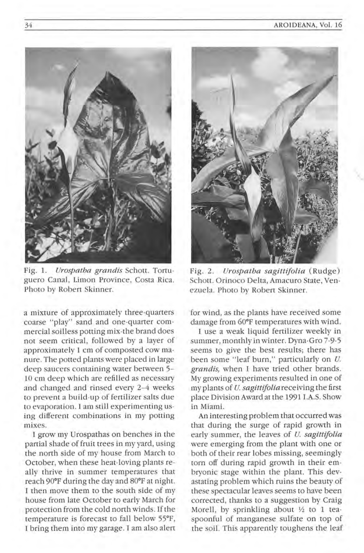

Fig. 1. *Urospatha grandis* Schott. Tortuguero Canal, Limon Province, Costa Rica. Photo by Robert Skinner.

a mixture of approximately three·quarters coarse "play" sand and one-quarter commercial soilless potting mix-the brand does not seem critical, followed by a layer of approximately 1 cm of composted cow ma· nure. The potted plants were placed in large deep saucers containing water between 5- 10 cm deep which are refilled as necessary and changed and rinsed every 2-4 weeks to prevent a build-up of fertilizer salts due to evaporation. I am still experimenting using different combinations in my potting mixes.

I grow my Urospathas on benches in the partial shade of fruit trees in my yard, using the north side of my house from March to October, when these heat-loving plants really thrive in summer temperatures that reach 90°F during the day and 80°F at night. I then move them to the south side of my house from late October to early March for protection from the cold north winds. If the temperature is forecast to fall below 55°F, I bring them into my garage. I am also alert



Fig. 2. *Urospatha sagittifolia* (Rudge) Schott. Orinoco Delta, Amacuro State, Venezuela. Photo by Robert Skinner.

for wind, as the plants have received some damage from 60°F temperatures with wind.

I use a weak liquid fertilizer weekly in summer, monthly in winter. Dyna-Gro 7 -9-5 seems to give the best results; there has been some "leaf burn," particularly on *U*. grandis, when I have tried other brands. My growing experiments resulted in one of my plants of *U sagittifolia* receiving the first place Division Award atthe 1991 l.A.S. Show in Miami.

An interesting problem that occurred was that during the surge of rapid growth in early summer, the leaves of *U. sagittifolia* were emerging from the plant with one or both of their rear lobes missing, seemingly torn off during rapid growth in their embryonic stage within the plant. This devastating problem which ruins the beauty of these spectacular leaves seems to have been corrected, thanks to a suggestion by Craig Morell, by sprinkling about *Yz* to 1 teaspoonful of manganese sulfate on top of the soil. This apparently toughens the leaf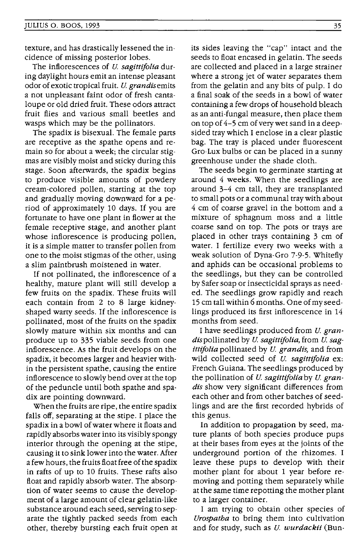texture, and has drastically lessened the incidence of missing posterior lobes.

The inflorescences of *U. sagittifolia* during daylight hours emit an intense pleasant odor of exotic tropical fruit. *U. grandisemits*  a not unpleasant faint odor of fresh cantaloupe or old dried fruit. These odors attract fruit flies and various small beetles and wasps which may be the pollinators.

The spadix is bisexual. The female parts are receptive as the spathe opens and remain so for about a week; the circular stigmas are visibly moist and sticky during this stage. Soon afterwards, the spadix begins to produce visible amounts of powdery cream-colored pollen, starting at the top and gradually moving downward for a period of approximately 10 days. If you are fortunate to have one plant in flower at the female receptive stage, and another plant whose inflorescence is producing pollen, it is a simple matter to transfer pollen from one to the moist stigmas of the other, using a slim paintbrush moistened in water.

If not pollinated, the inflorescence of a healthy, mature plant will still develop a few fruits on the spadix. These fruits will each contain from 2 to 8 large kidneyshaped warty seeds. If the inflorescence is pollinated, most of the fruits on the spadix slowly mature within six months and can produce up to 335 viable seeds from one inflorescence. As the fruit develops on the spadix, it becomes larger and heavier within the persistent spathe, causing the entire inflorescence to slowly bend over at the top of the peduncle until both spathe and spadix are pointing downward.

When the fruits are ripe, the entire spadix falls off, separating at the stipe. I place the spadix in a bowl of water where it floats and rapidly absorbs water into its visibly spongy interior through the opening at the stipe, causing it to sink lower into the water. After a few hours, the fruits float free of the spadix in rafts of up to 10 fruits. These rafts also float and rapidly absorb water. The absorption of water seems to cause the development of a large amount of clear gelatin-like substance around each seed, serving to separate the tightly packed seeds from each other, thereby bursting each fruit open at its sides leaving the "cap" intact and the seeds to float encased in gelatin. The seeds are collected and placed in a large strainer where a strong jet of water separates them from the gelatin and any bits of pulp. I do a final soak of the seeds in a bowl of water containing a few drops of household bleach as an anti-fungal measure, then place them on top of 4-5 cm of very wet sand in a deepsided tray which I enclose in a clear plastic bag. The tray is placed under fluorescent Gro-Lux bulbs or can be placed in a sunny greenhouse under the shade cloth.

The seeds begin to germinate starting at around 4 weeks. When the seedlings are around 3-4 cm tall, they are transplanted to small pots or a communal tray with about 4 cm of coarse gravel in the bottom and a mixture of sphagnum moss and a little coarse sand on top. The pots or trays are placed in other trays containing 3 cm of water. I fertilize every two weeks with a weak solution of Dyna-Gro 7-9-5. Whitefly and aphids can be occasional problems to the seedlings, but they can be controlled by Safer soap or insecticidal sprays as needed. The seedlings grow rapidly and reach 15 cm tall within 6 months. One of my seedlings produced its first inflorescence in 14 months from seed.

I have seedlings produced from *U. gran*dispollinated by U. *sagittifolia,* from U. *sagittifolia* pollinated by *u. grandis,* and from wild collected seed of *U. sagittifolia* ex: French Guiana. The seedlings produced by the pollination of *U. sagittifolia* by U. *grandis* show very significant differences from each other and from other batches of seedlings and are the first recorded hybrids of this genus.

In addition to propagation by seed, mature plants of both species produce pups at their bases from eyes at the joints of the underground portion of the rhizomes. I leave these pups to develop with their mother plant for about 1 year before removing and potting them separately while at the same time repotting the mother plant to a larger container.

I am trying to obtain other species of *Urospatha* to bring them into cultivation and for study, such as *U. wurdackii* (Bun